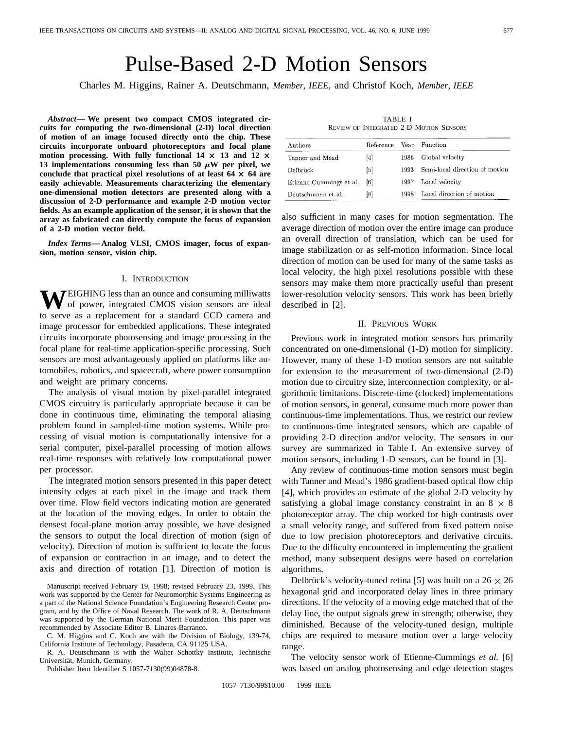# Pulse-Based 2-D Motion Sensors

Charles M. Higgins, Rainer A. Deutschmann, *Member, IEEE,* and Christof Koch, *Member, IEEE*

*Abstract—* **We present two compact CMOS integrated circuits for computing the two-dimensional (2-D) local direction of motion of an image focused directly onto the chip. These circuits incorporate onboard photoreceptors and focal plane** motion processing. With fully functional  $14 \times 13$  and  $12 \times$ 13 implementations consuming less than 50  $\mu$ W per pixel, we conclude that practical pixel resolutions of at least  $64 \times 64$  are **easily achievable. Measurements characterizing the elementary one-dimensional motion detectors are presented along with a discussion of 2-D performance and example 2-D motion vector fields. As an example application of the sensor, it is shown that the array as fabricated can directly compute the focus of expansion of a 2-D motion vector field.**

*Index Terms—***Analog VLSI, CMOS imager, focus of expansion, motion sensor, vision chip.**

# I. INTRODUCTION

**WEIGHING** less than an ounce and consuming milliwatts<br>of power, integrated CMOS vision sensors are ideal to serve as a replacement for a standard CCD camera and image processor for embedded applications. These integrated circuits incorporate photosensing and image processing in the focal plane for real-time application-specific processing. Such sensors are most advantageously applied on platforms like automobiles, robotics, and spacecraft, where power consumption and weight are primary concerns.

The analysis of visual motion by pixel-parallel integrated CMOS circuitry is particularly appropriate because it can be done in continuous time, eliminating the temporal aliasing problem found in sampled-time motion systems. While processing of visual motion is computationally intensive for a serial computer, pixel-parallel processing of motion allows real-time responses with relatively low computational power per processor.

The integrated motion sensors presented in this paper detect intensity edges at each pixel in the image and track them over time. Flow field vectors indicating motion are generated at the location of the moving edges. In order to obtain the densest focal-plane motion array possible, we have designed the sensors to output the local direction of motion (sign of velocity). Direction of motion is sufficient to locate the focus of expansion or contraction in an image, and to detect the axis and direction of rotation [1]. Direction of motion is

C. M. Higgins and C. Koch are with the Division of Biology, 139-74, California Institute of Technology, Pasadena, CA 91125 USA.

R. A. Deutschmann is with the Walter Schottky Institute, Technische Universität, Munich, Germany.

Publisher Item Identifier S 1057-7130(99)04878-8.

TABLE I REVIEW OF INTEGRATED 2-D MOTION SENSORS

| Authors                 | Reference Year Function |       |                                |
|-------------------------|-------------------------|-------|--------------------------------|
| Tanner and Mead         | $\vert 4 \vert$         | 1986. | Global velocity                |
| Delbrück                | [5]                     | 1993. | Semi-local direction of motion |
| Etienne-Cummings et al. | 161                     | 1997  | Local velocity                 |
| Deutschmann et al.      | [8]                     | 1998. | Local direction of motion      |

also sufficient in many cases for motion segmentation. The average direction of motion over the entire image can produce an overall direction of translation, which can be used for image stabilization or as self-motion information. Since local direction of motion can be used for many of the same tasks as local velocity, the high pixel resolutions possible with these sensors may make them more practically useful than present lower-resolution velocity sensors. This work has been briefly described in [2].

# II. PREVIOUS WORK

Previous work in integrated motion sensors has primarily concentrated on one-dimensional (1-D) motion for simplicity. However, many of these 1-D motion sensors are not suitable for extension to the measurement of two-dimensional (2-D) motion due to circuitry size, interconnection complexity, or algorithmic limitations. Discrete-time (clocked) implementations of motion sensors, in general, consume much more power than continuous-time implementations. Thus, we restrict our review to continuous-time integrated sensors, which are capable of providing 2-D direction and/or velocity. The sensors in our survey are summarized in Table I. An extensive survey of motion sensors, including 1-D sensors, can be found in [3].

Any review of continuous-time motion sensors must begin with Tanner and Mead's 1986 gradient-based optical flow chip [4], which provides an estimate of the global 2-D velocity by satisfying a global image constancy constraint in an  $8 \times 8$ photoreceptor array. The chip worked for high contrasts over a small velocity range, and suffered from fixed pattern noise due to low precision photoreceptors and derivative circuits. Due to the difficulty encountered in implementing the gradient method, many subsequent designs were based on correlation algorithms.

Delbrück's velocity-tuned retina [5] was built on a  $26 \times 26$ hexagonal grid and incorporated delay lines in three primary directions. If the velocity of a moving edge matched that of the delay line, the output signals grew in strength; otherwise, they diminished. Because of the velocity-tuned design, multiple chips are required to measure motion over a large velocity range.

The velocity sensor work of Etienne-Cummings *et al.* [6] was based on analog photosensing and edge detection stages

Manuscript received February 19, 1998; revised February 23, 1999. This work was supported by the Center for Neuromorphic Systems Engineering as a part of the National Science Foundation's Engineering Research Center program, and by the Office of Naval Research. The work of R. A. Deutschmann was supported by the German National Merit Foundation. This paper was recommended by Associate Editor B. Linares-Barranco.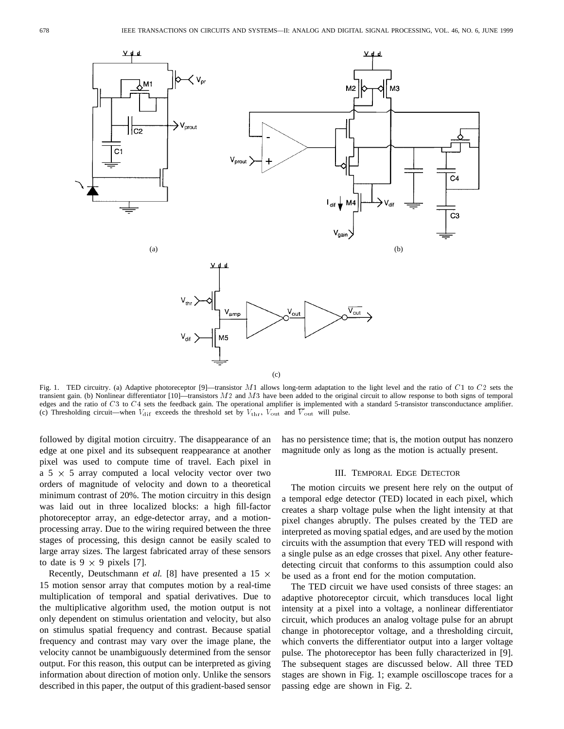

Fig. 1. TED circuitry. (a) Adaptive photoreceptor [9]—transistor M1 allows long-term adaptation to the light level and the ratio of C1 to C2 sets the transient gain. (b) Nonlinear differentiator  $[10]$ —transistors  $M2$  and  $M3$  have been added to the original circuit to allow response to both signs of temporal edges and the ratio of C3 to C4 sets the feedback gain. The operational amplifier is implemented with a standard 5-transistor transconductance amplifier. (c) Thresholding circuit—when  $V_{\text{dif}}$  exceeds the threshold set by  $V_{\text{thr}}$ ,  $V_{\text{out}}$  and  $\overline{V}_{\text{out}}$  will pulse.

followed by digital motion circuitry. The disappearance of an edge at one pixel and its subsequent reappearance at another pixel was used to compute time of travel. Each pixel in a  $5 \times 5$  array computed a local velocity vector over two orders of magnitude of velocity and down to a theoretical minimum contrast of 20%. The motion circuitry in this design was laid out in three localized blocks: a high fill-factor photoreceptor array, an edge-detector array, and a motionprocessing array. Due to the wiring required between the three stages of processing, this design cannot be easily scaled to large array sizes. The largest fabricated array of these sensors to date is  $9 \times 9$  pixels [7].

Recently, Deutschmann *et al.* [8] have presented a 15  $\times$ 15 motion sensor array that computes motion by a real-time multiplication of temporal and spatial derivatives. Due to the multiplicative algorithm used, the motion output is not only dependent on stimulus orientation and velocity, but also on stimulus spatial frequency and contrast. Because spatial frequency and contrast may vary over the image plane, the velocity cannot be unambiguously determined from the sensor output. For this reason, this output can be interpreted as giving information about direction of motion only. Unlike the sensors described in this paper, the output of this gradient-based sensor

has no persistence time; that is, the motion output has nonzero magnitude only as long as the motion is actually present.

## III. TEMPORAL EDGE DETECTOR

The motion circuits we present here rely on the output of a temporal edge detector (TED) located in each pixel, which creates a sharp voltage pulse when the light intensity at that pixel changes abruptly. The pulses created by the TED are interpreted as moving spatial edges, and are used by the motion circuits with the assumption that every TED will respond with a single pulse as an edge crosses that pixel. Any other featuredetecting circuit that conforms to this assumption could also be used as a front end for the motion computation.

The TED circuit we have used consists of three stages: an adaptive photoreceptor circuit, which transduces local light intensity at a pixel into a voltage, a nonlinear differentiator circuit, which produces an analog voltage pulse for an abrupt change in photoreceptor voltage, and a thresholding circuit, which converts the differentiator output into a larger voltage pulse. The photoreceptor has been fully characterized in [9]. The subsequent stages are discussed below. All three TED stages are shown in Fig. 1; example oscilloscope traces for a passing edge are shown in Fig. 2.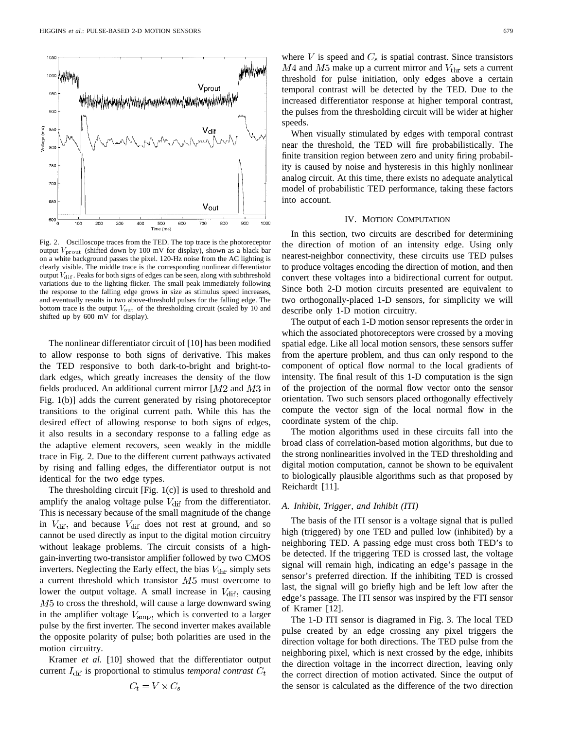

Fig. 2. Oscilloscope traces from the TED. The top trace is the photoreceptor output  $V_{\text{prout}}$  (shifted down by 100 mV for display), shown as a black bar on a white background passes the pixel. 120-Hz noise from the AC lighting is clearly visible. The middle trace is the corresponding nonlinear differentiator output  $V_{\text{dif}}$ . Peaks for both signs of edges can be seen, along with subthreshold variations due to the lighting flicker. The small peak immediately following the response to the falling edge grows in size as stimulus speed increases, and eventually results in two above-threshold pulses for the falling edge. The bottom trace is the output  $V_{\text{out}}$  of the thresholding circuit (scaled by 10 and shifted up by 600 mV for display).

The nonlinear differentiator circuit of [10] has been modified to allow response to both signs of derivative. This makes the TED responsive to both dark-to-bright and bright-todark edges, which greatly increases the density of the flow fields produced. An additional current mirror  $[M2$  and  $M3$  in Fig. 1(b)] adds the current generated by rising photoreceptor transitions to the original current path. While this has the desired effect of allowing response to both signs of edges, it also results in a secondary response to a falling edge as the adaptive element recovers, seen weakly in the middle trace in Fig. 2. Due to the different current pathways activated by rising and falling edges, the differentiator output is not identical for the two edge types.

The thresholding circuit [Fig. 1(c)] is used to threshold and amplify the analog voltage pulse  $V_{\text{dif}}$  from the differentiator. This is necessary because of the small magnitude of the change in  $V_{\text{dif}}$ , and because  $V_{\text{dif}}$  does not rest at ground, and so cannot be used directly as input to the digital motion circuitry without leakage problems. The circuit consists of a highgain-inverting two-transistor amplifier followed by two CMOS inverters. Neglecting the Early effect, the bias  $V_{\text{thr}}$  simply sets a current threshold which transistor  $M5$  must overcome to lower the output voltage. A small increase in  $V_{\text{dif}}$ , causing  $M<sub>5</sub>$  to cross the threshold, will cause a large downward swing in the amplifier voltage  $V_{\text{amp}}$ , which is converted to a larger pulse by the first inverter. The second inverter makes available the opposite polarity of pulse; both polarities are used in the motion circuitry.

Kramer *et al.* [10] showed that the differentiator output current  $I_{\text{dif}}$  is proportional to stimulus *temporal contrast*  $C_t$ 

$$
C_t = V \times C_s
$$

where  $V$  is speed and  $C_s$  is spatial contrast. Since transistors  $M4$  and  $M5$  make up a current mirror and  $V_{\text{thr}}$  sets a current threshold for pulse initiation, only edges above a certain temporal contrast will be detected by the TED. Due to the increased differentiator response at higher temporal contrast, the pulses from the thresholding circuit will be wider at higher speeds.

When visually stimulated by edges with temporal contrast near the threshold, the TED will fire probabilistically. The finite transition region between zero and unity firing probability is caused by noise and hysteresis in this highly nonlinear analog circuit. At this time, there exists no adequate analytical model of probabilistic TED performance, taking these factors into account.

# IV. MOTION COMPUTATION

In this section, two circuits are described for determining the direction of motion of an intensity edge. Using only nearest-neighbor connectivity, these circuits use TED pulses to produce voltages encoding the direction of motion, and then convert these voltages into a bidirectional current for output. Since both 2-D motion circuits presented are equivalent to two orthogonally-placed 1-D sensors, for simplicity we will describe only 1-D motion circuitry.

The output of each 1-D motion sensor represents the order in which the associated photoreceptors were crossed by a moving spatial edge. Like all local motion sensors, these sensors suffer from the aperture problem, and thus can only respond to the component of optical flow normal to the local gradients of intensity. The final result of this 1-D computation is the sign of the projection of the normal flow vector onto the sensor orientation. Two such sensors placed orthogonally effectively compute the vector sign of the local normal flow in the coordinate system of the chip.

The motion algorithms used in these circuits fall into the broad class of correlation-based motion algorithms, but due to the strong nonlinearities involved in the TED thresholding and digital motion computation, cannot be shown to be equivalent to biologically plausible algorithms such as that proposed by Reichardt [11].

# *A. Inhibit, Trigger, and Inhibit (ITI)*

The basis of the ITI sensor is a voltage signal that is pulled high (triggered) by one TED and pulled low (inhibited) by a neighboring TED. A passing edge must cross both TED's to be detected. If the triggering TED is crossed last, the voltage signal will remain high, indicating an edge's passage in the sensor's preferred direction. If the inhibiting TED is crossed last, the signal will go briefly high and be left low after the edge's passage. The ITI sensor was inspired by the FTI sensor of Kramer [12].

The 1-D ITI sensor is diagramed in Fig. 3. The local TED pulse created by an edge crossing any pixel triggers the direction voltage for both directions. The TED pulse from the neighboring pixel, which is next crossed by the edge, inhibits the direction voltage in the incorrect direction, leaving only the correct direction of motion activated. Since the output of the sensor is calculated as the difference of the two direction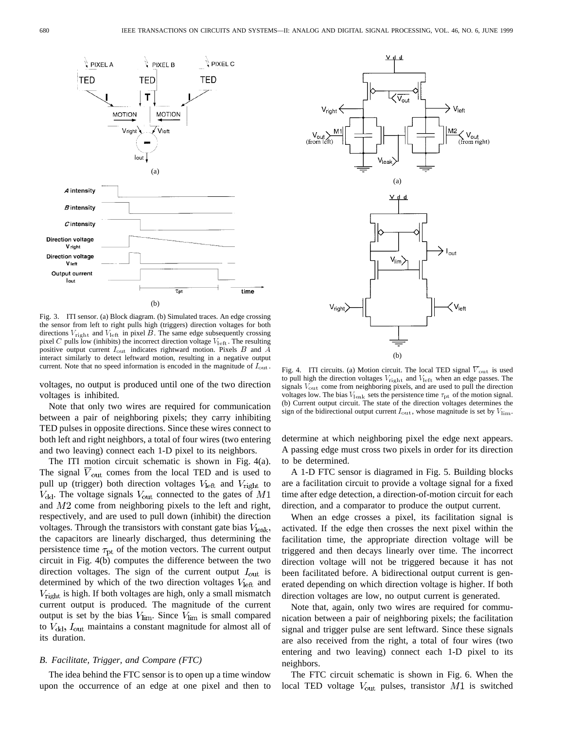

Fig. 3. ITI sensor. (a) Block diagram. (b) Simulated traces. An edge crossing the sensor from left to right pulls high (triggers) direction voltages for both directions  $V_{\text{right}}$  and  $V_{\text{left}}$  in pixel  $\overline{B}$ . The same edge subsequently crossing pixel C pulls low (inhibits) the incorrect direction voltage  $V_{\text{left}}$ . The resulting positive output current  $I_{\text{out}}$  indicates rightward motion. Pixels  $B$  and  $A$ interact similarly to detect leftward motion, resulting in a negative output current. Note that no speed information is encoded in the magnitude of  $I_{\text{out}}$ .

voltages, no output is produced until one of the two direction voltages is inhibited.

Note that only two wires are required for communication between a pair of neighboring pixels; they carry inhibiting TED pulses in opposite directions. Since these wires connect to both left and right neighbors, a total of four wires (two entering and two leaving) connect each 1-D pixel to its neighbors.

The ITI motion circuit schematic is shown in Fig. 4(a). The signal  $\overline{V}_{\text{out}}$  comes from the local TED and is used to pull up (trigger) both direction voltages  $V_{\text{left}}$  and  $V_{\text{right}}$  to  $V_{\text{dd}}$ . The voltage signals  $V_{\text{out}}$  connected to the gates of  $M1$ and  $M2$  come from neighboring pixels to the left and right, respectively, and are used to pull down (inhibit) the direction voltages. Through the transistors with constant gate bias  $V_{\text{leak}}$ , the capacitors are linearly discharged, thus determining the persistence time  $\tau_{\rm pt}$  of the motion vectors. The current output circuit in Fig. 4(b) computes the difference between the two direction voltages. The sign of the current output  $I_{\text{out}}$  is determined by which of the two direction voltages  $V_{\text{left}}$  and  $V_{\text{right}}$  is high. If both voltages are high, only a small mismatch current output is produced. The magnitude of the current output is set by the bias  $V_{\text{lim}}$ . Since  $V_{\text{lim}}$  is small compared to  $V_{dd}$ ,  $I_{out}$  maintains a constant magnitude for almost all of its duration.

## *B. Facilitate, Trigger, and Compare (FTC)*

The idea behind the FTC sensor is to open up a time window upon the occurrence of an edge at one pixel and then to



Fig. 4. ITI circuits. (a) Motion circuit. The local TED signal  $V_{\text{out}}$  is used to pull high the direction voltages  $V_{\text{right}}$  and  $V_{\text{left}}$  when an edge passes. The signals  $V_{\text{out}}$  come from neighboring pixels, and are used to pull the direction voltages low. The bias  $V_{\text{leak}}$  sets the persistence time  $\tau_{\text{pt}}$  of the motion signal. (b) Current output circuit. The state of the direction voltages determines the sign of the bidirectional output current  $I_{\text{out}}$ , whose magnitude is set by  $V_{\text{lim}}$ .

determine at which neighboring pixel the edge next appears. A passing edge must cross two pixels in order for its direction to be determined.

A 1-D FTC sensor is diagramed in Fig. 5. Building blocks are a facilitation circuit to provide a voltage signal for a fixed time after edge detection, a direction-of-motion circuit for each direction, and a comparator to produce the output current.

When an edge crosses a pixel, its facilitation signal is activated. If the edge then crosses the next pixel within the facilitation time, the appropriate direction voltage will be triggered and then decays linearly over time. The incorrect direction voltage will not be triggered because it has not been facilitated before. A bidirectional output current is generated depending on which direction voltage is higher. If both direction voltages are low, no output current is generated.

Note that, again, only two wires are required for communication between a pair of neighboring pixels; the facilitation signal and trigger pulse are sent leftward. Since these signals are also received from the right, a total of four wires (two entering and two leaving) connect each 1-D pixel to its neighbors.

The FTC circuit schematic is shown in Fig. 6. When the local TED voltage  $V_{\text{out}}$  pulses, transistor  $M1$  is switched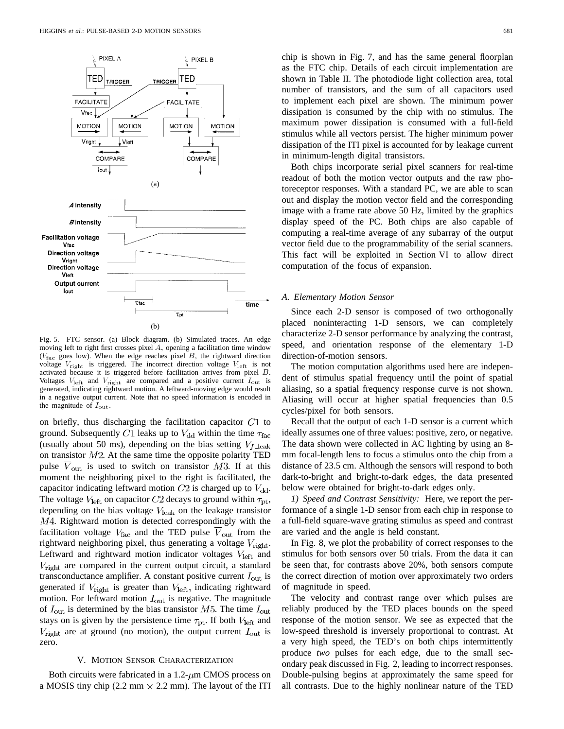

Fig. 5. FTC sensor. (a) Block diagram. (b) Simulated traces. An edge moving left to right first crosses pixel  $A$ , opening a facilitation time window  $(V<sub>fac</sub> goes low)$ . When the edge reaches pixel B, the rightward direction voltage  $V_{\text{right}}$  is triggered. The incorrect direction voltage  $V_{\text{left}}$  is not activated because it is triggered before facilitation arrives from pixel B. Voltages  $V_{\text{left}}$  and  $V_{\text{right}}$  are compared and a positive current  $I_{\text{out}}$  is generated, indicating rightward motion. A leftward-moving edge would result in a negative output current. Note that no speed information is encoded in the magnitude of  $I_{\text{out}}$ .

on briefly, thus discharging the facilitation capacitor  $C1$  to ground. Subsequently C1 leaks up to  $V_{dd}$  within the time  $\tau_{fac}$ (usually about 50 ms), depending on the bias setting  $V_f$ <sub>-leak</sub> on transistor  $M2$ . At the same time the opposite polarity TED pulse  $\overline{V}_{\text{out}}$  is used to switch on transistor M3. If at this moment the neighboring pixel to the right is facilitated, the capacitor indicating leftward motion  $C2$  is charged up to  $V_{dd}$ . The voltage  $V_{\text{left}}$  on capacitor  $C2$  decays to ground within  $\tau_{\text{pt}}$ , depending on the bias voltage  $V_{\text{leak}}$  on the leakage transistor  $M4$ . Rightward motion is detected correspondingly with the facilitation voltage  $V_{\text{fac}}$  and the TED pulse  $\overline{V}_{\text{out}}$  from the rightward neighboring pixel, thus generating a voltage  $V_{\text{right}}$ . Leftward and rightward motion indicator voltages  $V_{\text{left}}$  and  $V_{\text{right}}$  are compared in the current output circuit, a standard transconductance amplifier. A constant positive current  $I_{\text{out}}$  is generated if  $V_{\text{right}}$  is greater than  $V_{\text{left}}$ , indicating rightward motion. For leftward motion  $I_{\text{out}}$  is negative. The magnitude of  $I_{\text{out}}$  is determined by the bias transistor M5. The time  $I_{\text{out}}$ stays on is given by the persistence time  $\tau_{\rm pt}$ . If both  $V_{\rm left}$  and  $V_{\text{right}}$  are at ground (no motion), the output current  $I_{\text{out}}$  is zero.

#### V. MOTION SENSOR CHARACTERIZATION

Both circuits were fabricated in a  $1.2$ - $\mu$ m CMOS process on a MOSIS tiny chip (2.2 mm  $\times$  2.2 mm). The layout of the ITI chip is shown in Fig. 7, and has the same general floorplan as the FTC chip. Details of each circuit implementation are shown in Table II. The photodiode light collection area, total number of transistors, and the sum of all capacitors used to implement each pixel are shown. The minimum power dissipation is consumed by the chip with no stimulus. The maximum power dissipation is consumed with a full-field stimulus while all vectors persist. The higher minimum power dissipation of the ITI pixel is accounted for by leakage current in minimum-length digital transistors.

Both chips incorporate serial pixel scanners for real-time readout of both the motion vector outputs and the raw photoreceptor responses. With a standard PC, we are able to scan out and display the motion vector field and the corresponding image with a frame rate above 50 Hz, limited by the graphics display speed of the PC. Both chips are also capable of computing a real-time average of any subarray of the output vector field due to the programmability of the serial scanners. This fact will be exploited in Section VI to allow direct computation of the focus of expansion.

# *A. Elementary Motion Sensor*

Since each 2-D sensor is composed of two orthogonally placed noninteracting 1-D sensors, we can completely characterize 2-D sensor performance by analyzing the contrast, speed, and orientation response of the elementary 1-D direction-of-motion sensors.

The motion computation algorithms used here are independent of stimulus spatial frequency until the point of spatial aliasing, so a spatial frequency response curve is not shown. Aliasing will occur at higher spatial frequencies than 0.5 cycles/pixel for both sensors.

Recall that the output of each 1-D sensor is a current which ideally assumes one of three values: positive, zero, or negative. The data shown were collected in AC lighting by using an 8 mm focal-length lens to focus a stimulus onto the chip from a distance of 23.5 cm. Although the sensors will respond to both dark-to-bright and bright-to-dark edges, the data presented below were obtained for bright-to-dark edges only.

*1) Speed and Contrast Sensitivity:* Here, we report the performance of a single 1-D sensor from each chip in response to a full-field square-wave grating stimulus as speed and contrast are varied and the angle is held constant.

In Fig. 8, we plot the probability of correct responses to the stimulus for both sensors over 50 trials. From the data it can be seen that, for contrasts above 20%, both sensors compute the correct direction of motion over approximately two orders of magnitude in speed.

The velocity and contrast range over which pulses are reliably produced by the TED places bounds on the speed response of the motion sensor. We see as expected that the low-speed threshold is inversely proportional to contrast. At a very high speed, the TED's on both chips intermittently produce *two* pulses for each edge, due to the small secondary peak discussed in Fig. 2, leading to incorrect responses. Double-pulsing begins at approximately the same speed for all contrasts. Due to the highly nonlinear nature of the TED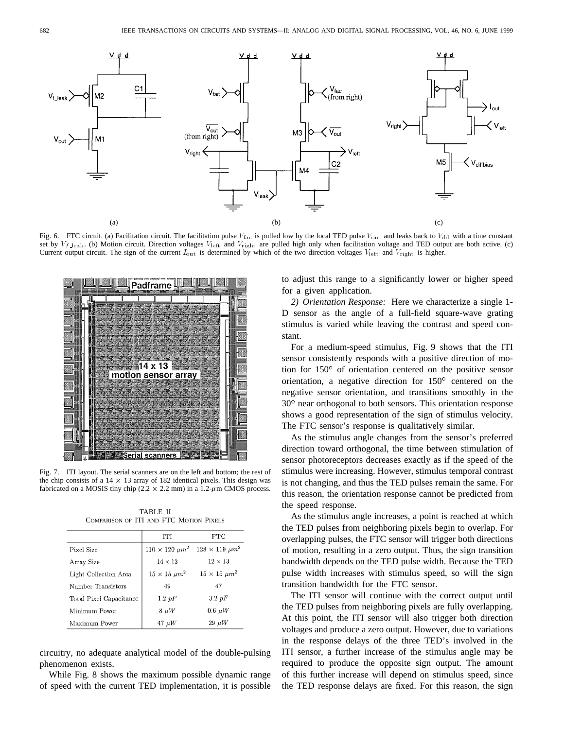

Fig. 6. FTC circuit. (a) Facilitation circuit. The facilitation pulse  $V_{\text{fac}}$  is pulled low by the local TED pulse  $V_{\text{out}}$  and leaks back to  $V_{\text{dd}}$  with a time constant set by  $V_{f\text{-leak}}$ . (b) Motion circuit. Direction voltages  $V_{\text{left}}$  and  $V_{\text{right}}$  are pulled high only when facilitation voltage and TED output are both active. (c) Current output circuit. The sign of the current  $I_{\text{out}}$  is determined by which of the two direction voltages  $V_{\text{left}}$  and  $V_{\text{right}}$  is higher.



Fig. 7. ITI layout. The serial scanners are on the left and bottom; the rest of the chip consists of a  $14 \times 13$  array of 182 identical pixels. This design was fabricated on a MOSIS tiny chip (2.2  $\times$  2.2 mm) in a 1.2- $\mu$ m CMOS process.

TABLE II COMPARISON OF ITI AND FTC MOTION PIXELS

|                         | TTI                      | FTC                                                   |
|-------------------------|--------------------------|-------------------------------------------------------|
| Pixel Size              |                          | $110 \times 120 \ \mu m^2$ $128 \times 119 \ \mu m^2$ |
| Array Size              | $14 \times 13$           | $12 \times 13$                                        |
| Light Collection Area   | $15 \times 15 \ \mu m^2$ | $15 \times 15 \ \mu m^2$                              |
| Number Transistors      | 49                       | 47                                                    |
| Total Pixel Capacitance | 1.2~pF                   | 3.2pF                                                 |
| Minimum Power           | $8~\mu W$                | $0.6~\mu W$                                           |
| Maximum Power           | $47~\mu W$               | $29\;\mu W$                                           |

circuitry, no adequate analytical model of the double-pulsing phenomenon exists.

While Fig. 8 shows the maximum possible dynamic range of speed with the current TED implementation, it is possible to adjust this range to a significantly lower or higher speed for a given application.

*2) Orientation Response:* Here we characterize a single 1- D sensor as the angle of a full-field square-wave grating stimulus is varied while leaving the contrast and speed constant.

For a medium-speed stimulus, Fig. 9 shows that the ITI sensor consistently responds with a positive direction of motion for  $150^{\circ}$  of orientation centered on the positive sensor orientation, a negative direction for  $150^{\circ}$  centered on the negative sensor orientation, and transitions smoothly in the 30° near orthogonal to both sensors. This orientation response shows a good representation of the sign of stimulus velocity. The FTC sensor's response is qualitatively similar.

As the stimulus angle changes from the sensor's preferred direction toward orthogonal, the time between stimulation of sensor photoreceptors decreases exactly as if the speed of the stimulus were increasing. However, stimulus temporal contrast is not changing, and thus the TED pulses remain the same. For this reason, the orientation response cannot be predicted from the speed response.

As the stimulus angle increases, a point is reached at which the TED pulses from neighboring pixels begin to overlap. For overlapping pulses, the FTC sensor will trigger both directions of motion, resulting in a zero output. Thus, the sign transition bandwidth depends on the TED pulse width. Because the TED pulse width increases with stimulus speed, so will the sign transition bandwidth for the FTC sensor.

The ITI sensor will continue with the correct output until the TED pulses from neighboring pixels are fully overlapping. At this point, the ITI sensor will also trigger both direction voltages and produce a zero output. However, due to variations in the response delays of the three TED's involved in the ITI sensor, a further increase of the stimulus angle may be required to produce the opposite sign output. The amount of this further increase will depend on stimulus speed, since the TED response delays are fixed. For this reason, the sign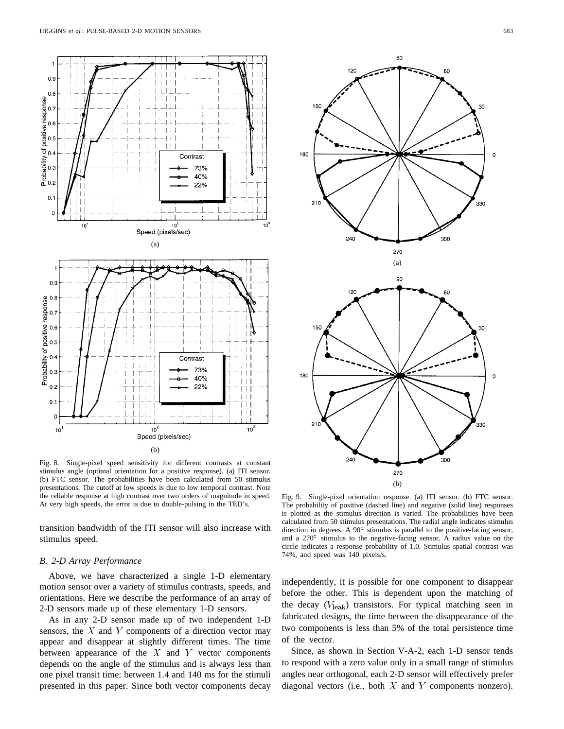

Fig. 8. Single-pixel speed sensitivity for different contrasts at constant stimulus angle (optimal orientation for a positive response). (a) ITI sensor. (b) FTC sensor. The probabilities have been calculated from 50 stimulus presentations. The cutoff at low speeds is due to low temporal contrast. Note the reliable response at high contrast over two orders of magnitude in speed. At very high speeds, the error is due to double-pulsing in the TED's.

transition bandwidth of the ITI sensor will also increase with stimulus speed.

# *B. 2-D Array Performance*

Above, we have characterized a single 1-D elementary motion sensor over a variety of stimulus contrasts, speeds, and orientations. Here we describe the performance of an array of 2-D sensors made up of these elementary 1-D sensors.

As in any 2-D sensor made up of two independent 1-D sensors, the  $X$  and  $Y$  components of a direction vector may appear and disappear at slightly different times. The time between appearance of the  $X$  and  $Y$  vector components depends on the angle of the stimulus and is always less than one pixel transit time: between 1.4 and 140 ms for the stimuli presented in this paper. Since both vector components decay



Fig. 9. Single-pixel orientation response. (a) ITI sensor. (b) FTC sensor. The probability of positive (dashed line) and negative (solid line) responses is plotted as the stimulus direction is varied. The probabilities have been calculated from 50 stimulus presentations. The radial angle indicates stimulus direction in degrees. A  $90^\circ$  stimulus is parallel to the positive-facing sensor, and a 270° stimulus to the negative-facing sensor. A radius value on the circle indicates a response probability of 1.0. Stimulus spatial contrast was 74%, and speed was 140 pixels/s.

independently, it is possible for one component to disappear before the other. This is dependent upon the matching of the decay  $(V_{\text{leak}})$  transistors. For typical matching seen in fabricated designs, the time between the disappearance of the two components is less than 5% of the total persistence time of the vector.

Since, as shown in Section V-A-2, each 1-D sensor tends to respond with a zero value only in a small range of stimulus angles near orthogonal, each 2-D sensor will effectively prefer diagonal vectors (i.e., both  $X$  and  $Y$  components nonzero).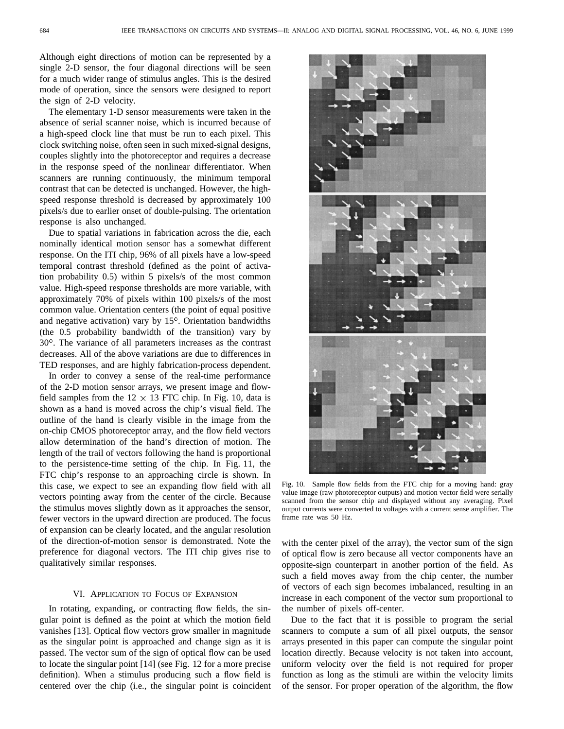Although eight directions of motion can be represented by a single 2-D sensor, the four diagonal directions will be seen for a much wider range of stimulus angles. This is the desired mode of operation, since the sensors were designed to report the sign of 2-D velocity.

The elementary 1-D sensor measurements were taken in the absence of serial scanner noise, which is incurred because of a high-speed clock line that must be run to each pixel. This clock switching noise, often seen in such mixed-signal designs, couples slightly into the photoreceptor and requires a decrease in the response speed of the nonlinear differentiator. When scanners are running continuously, the minimum temporal contrast that can be detected is unchanged. However, the highspeed response threshold is decreased by approximately 100 pixels/s due to earlier onset of double-pulsing. The orientation response is also unchanged.

Due to spatial variations in fabrication across the die, each nominally identical motion sensor has a somewhat different response. On the ITI chip, 96% of all pixels have a low-speed temporal contrast threshold (defined as the point of activation probability 0.5) within 5 pixels/s of the most common value. High-speed response thresholds are more variable, with approximately 70% of pixels within 100 pixels/s of the most common value. Orientation centers (the point of equal positive and negative activation) vary by  $15^\circ$ . Orientation bandwidths (the 0.5 probability bandwidth of the transition) vary by  $30^\circ$ . The variance of all parameters increases as the contrast decreases. All of the above variations are due to differences in TED responses, and are highly fabrication-process dependent.

In order to convey a sense of the real-time performance of the 2-D motion sensor arrays, we present image and flowfield samples from the  $12 \times 13$  FTC chip. In Fig. 10, data is shown as a hand is moved across the chip's visual field. The outline of the hand is clearly visible in the image from the on-chip CMOS photoreceptor array, and the flow field vectors allow determination of the hand's direction of motion. The length of the trail of vectors following the hand is proportional to the persistence-time setting of the chip. In Fig. 11, the FTC chip's response to an approaching circle is shown. In this case, we expect to see an expanding flow field with all vectors pointing away from the center of the circle. Because the stimulus moves slightly down as it approaches the sensor, fewer vectors in the upward direction are produced. The focus of expansion can be clearly located, and the angular resolution of the direction-of-motion sensor is demonstrated. Note the preference for diagonal vectors. The ITI chip gives rise to qualitatively similar responses.

# VI. APPLICATION TO FOCUS OF EXPANSION

In rotating, expanding, or contracting flow fields, the singular point is defined as the point at which the motion field vanishes [13]. Optical flow vectors grow smaller in magnitude as the singular point is approached and change sign as it is passed. The vector sum of the sign of optical flow can be used to locate the singular point [14] (see Fig. 12 for a more precise definition). When a stimulus producing such a flow field is centered over the chip (i.e., the singular point is coincident



Fig. 10. Sample flow fields from the FTC chip for a moving hand: gray value image (raw photoreceptor outputs) and motion vector field were serially scanned from the sensor chip and displayed without any averaging. Pixel output currents were converted to voltages with a current sense amplifier. The frame rate was 50 Hz.

with the center pixel of the array), the vector sum of the sign of optical flow is zero because all vector components have an opposite-sign counterpart in another portion of the field. As such a field moves away from the chip center, the number of vectors of each sign becomes imbalanced, resulting in an increase in each component of the vector sum proportional to the number of pixels off-center.

Due to the fact that it is possible to program the serial scanners to compute a sum of all pixel outputs, the sensor arrays presented in this paper can compute the singular point location directly. Because velocity is not taken into account, uniform velocity over the field is not required for proper function as long as the stimuli are within the velocity limits of the sensor. For proper operation of the algorithm, the flow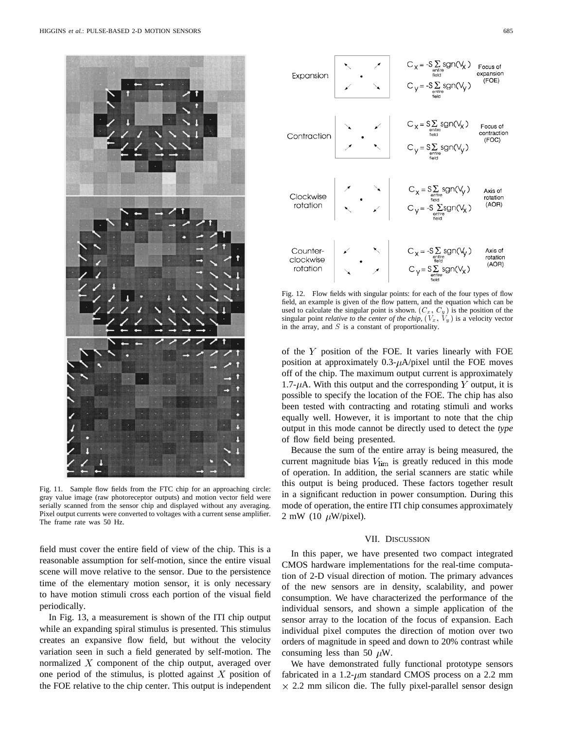

Fig. 11. Sample flow fields from the FTC chip for an approaching circle: gray value image (raw photoreceptor outputs) and motion vector field were serially scanned from the sensor chip and displayed without any averaging. Pixel output currents were converted to voltages with a current sense amplifier. The frame rate was 50 Hz.

field must cover the entire field of view of the chip. This is a reasonable assumption for self-motion, since the entire visual scene will move relative to the sensor. Due to the persistence time of the elementary motion sensor, it is only necessary to have motion stimuli cross each portion of the visual field periodically.

In Fig. 13, a measurement is shown of the ITI chip output while an expanding spiral stimulus is presented. This stimulus creates an expansive flow field, but without the velocity variation seen in such a field generated by self-motion. The normalized  $X$  component of the chip output, averaged over one period of the stimulus, is plotted against  $X$  position of the FOE relative to the chip center. This output is independent



Fig. 12. Flow fields with singular points: for each of the four types of flow field, an example is given of the flow pattern, and the equation which can be used to calculate the singular point is shown.  $(C_x, C_y)$  is the position of the singular point *relative to the center of the chip*,  $(V_x, V_y)$  is a velocity vector in the array, and  $S$  is a constant of proportionality.

of the  $Y$  position of the FOE. It varies linearly with FOE position at approximately  $0.3-\mu A/\text{pixel}$  until the FOE moves off of the chip. The maximum output current is approximately 1.7- $\mu$ A. With this output and the corresponding Y output, it is possible to specify the location of the FOE. The chip has also been tested with contracting and rotating stimuli and works equally well. However, it is important to note that the chip output in this mode cannot be directly used to detect the *type* of flow field being presented.

Because the sum of the entire array is being measured, the current magnitude bias  $V_{\text{lim}}$  is greatly reduced in this mode of operation. In addition, the serial scanners are static while this output is being produced. These factors together result in a significant reduction in power consumption. During this mode of operation, the entire ITI chip consumes approximately 2 mW (10  $\mu$ W/pixel).

#### VII. DISCUSSION

In this paper, we have presented two compact integrated CMOS hardware implementations for the real-time computation of 2-D visual direction of motion. The primary advances of the new sensors are in density, scalability, and power consumption. We have characterized the performance of the individual sensors, and shown a simple application of the sensor array to the location of the focus of expansion. Each individual pixel computes the direction of motion over two orders of magnitude in speed and down to 20% contrast while consuming less than 50  $\mu$ W.

We have demonstrated fully functional prototype sensors fabricated in a 1.2- $\mu$ m standard CMOS process on a 2.2 mm  $\times$  2.2 mm silicon die. The fully pixel-parallel sensor design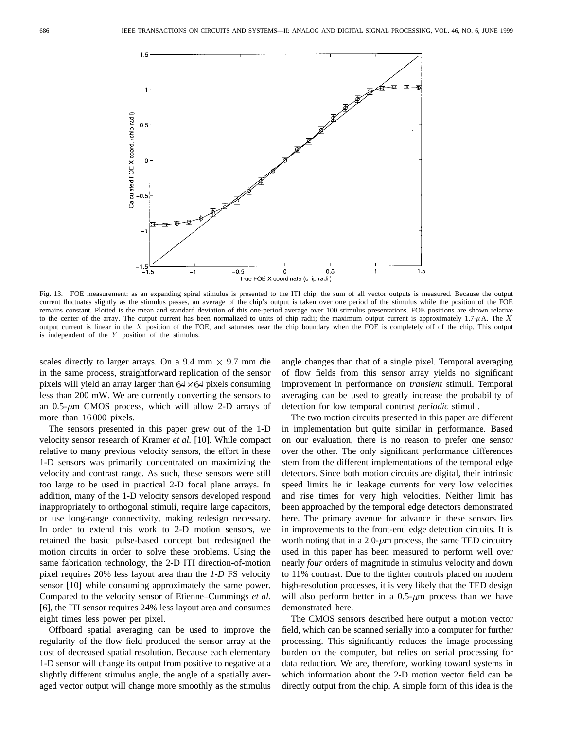

Fig. 13. FOE measurement: as an expanding spiral stimulus is presented to the ITI chip, the sum of all vector outputs is measured. Because the output current fluctuates slightly as the stimulus passes, an average of the chip's output is taken over one period of the stimulus while the position of the FOE remains constant. Plotted is the mean and standard deviation of this one-period average over 100 stimulus presentations. FOE positions are shown relative to the center of the array. The output current has been normalized to units of chip radii; the maximum output current is approximately 1.7- $\mu$ A. The X output current is linear in the  $X$  position of the FOE, and saturates near the chip boundary when the FOE is completely off of the chip. This output is independent of the  $Y$  position of the stimulus.

scales directly to larger arrays. On a 9.4 mm  $\times$  9.7 mm die in the same process, straightforward replication of the sensor pixels will yield an array larger than  $64 \times 64$  pixels consuming less than 200 mW. We are currently converting the sensors to an  $0.5-\mu m$  CMOS process, which will allow 2-D arrays of more than 16000 pixels.

The sensors presented in this paper grew out of the 1-D velocity sensor research of Kramer *et al.* [10]. While compact relative to many previous velocity sensors, the effort in these 1-D sensors was primarily concentrated on maximizing the velocity and contrast range. As such, these sensors were still too large to be used in practical 2-D focal plane arrays. In addition, many of the 1-D velocity sensors developed respond inappropriately to orthogonal stimuli, require large capacitors, or use long-range connectivity, making redesign necessary. In order to extend this work to 2-D motion sensors, we retained the basic pulse-based concept but redesigned the motion circuits in order to solve these problems. Using the same fabrication technology, the 2-D ITI direction-of-motion pixel requires 20% less layout area than the *1-D* FS velocity sensor [10] while consuming approximately the same power. Compared to the velocity sensor of Etienne–Cummings *et al.* [6], the ITI sensor requires 24% less layout area and consumes eight times less power per pixel.

Offboard spatial averaging can be used to improve the regularity of the flow field produced the sensor array at the cost of decreased spatial resolution. Because each elementary 1-D sensor will change its output from positive to negative at a slightly different stimulus angle, the angle of a spatially averaged vector output will change more smoothly as the stimulus angle changes than that of a single pixel. Temporal averaging of flow fields from this sensor array yields no significant improvement in performance on *transient* stimuli. Temporal averaging can be used to greatly increase the probability of detection for low temporal contrast *periodic* stimuli.

The two motion circuits presented in this paper are different in implementation but quite similar in performance. Based on our evaluation, there is no reason to prefer one sensor over the other. The only significant performance differences stem from the different implementations of the temporal edge detectors. Since both motion circuits are digital, their intrinsic speed limits lie in leakage currents for very low velocities and rise times for very high velocities. Neither limit has been approached by the temporal edge detectors demonstrated here. The primary avenue for advance in these sensors lies in improvements to the front-end edge detection circuits. It is worth noting that in a 2.0- $\mu$ m process, the same TED circuitry used in this paper has been measured to perform well over nearly *four* orders of magnitude in stimulus velocity and down to 11% contrast. Due to the tighter controls placed on modern high-resolution processes, it is very likely that the TED design will also perform better in a  $0.5-\mu m$  process than we have demonstrated here.

The CMOS sensors described here output a motion vector field, which can be scanned serially into a computer for further processing. This significantly reduces the image processing burden on the computer, but relies on serial processing for data reduction. We are, therefore, working toward systems in which information about the 2-D motion vector field can be directly output from the chip. A simple form of this idea is the